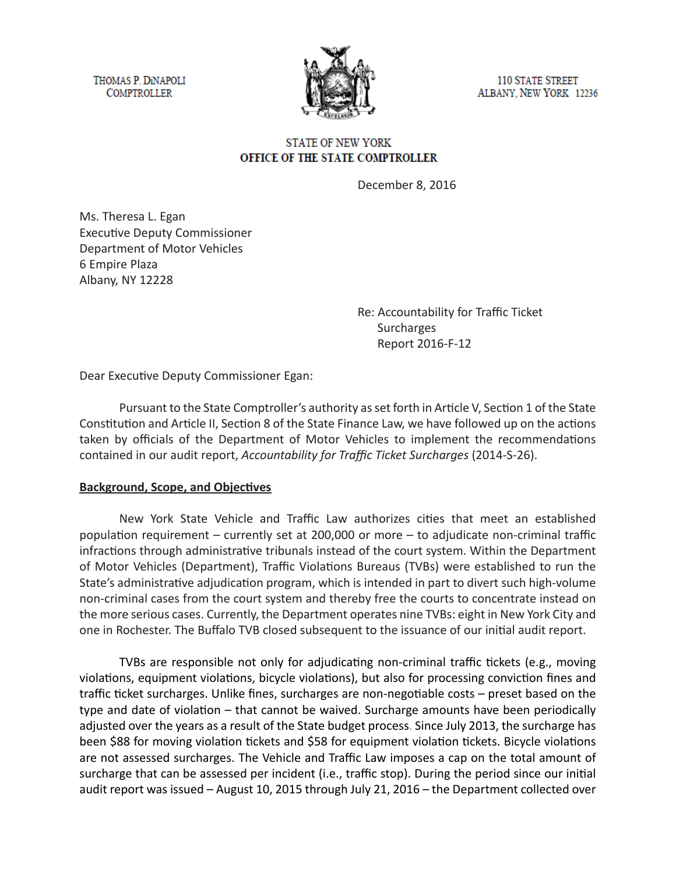THOMAS P. DINAPOLI **COMPTROLLER** 



110 STATE STREET ALBANY, NEW YORK 12236

### **STATE OF NEW YORK** OFFICE OF THE STATE COMPTROLLER

December 8, 2016

Ms. Theresa L. Egan Executive Deputy Commissioner Department of Motor Vehicles 6 Empire Plaza Albany, NY 12228

> Re: Accountability for Traffic Ticket Surcharges Report 2016-F-12

Dear Executive Deputy Commissioner Egan:

Pursuant to the State Comptroller's authority as set forth in Article V, Section 1 of the State Constitution and Article II, Section 8 of the State Finance Law, we have followed up on the actions taken by officials of the Department of Motor Vehicles to implement the recommendations contained in our audit report, *Accountability for Traffic Ticket Surcharges* (2014-S-26).

#### **Background, Scope, and Objectives**

New York State Vehicle and Traffic Law authorizes cities that meet an established population requirement – currently set at 200,000 or more – to adjudicate non-criminal traffic infractions through administrative tribunals instead of the court system. Within the Department of Motor Vehicles (Department), Traffic Violations Bureaus (TVBs) were established to run the State's administrative adjudication program, which is intended in part to divert such high-volume non-criminal cases from the court system and thereby free the courts to concentrate instead on the more serious cases. Currently, the Department operates nine TVBs: eight in New York City and one in Rochester. The Buffalo TVB closed subsequent to the issuance of our initial audit report.

TVBs are responsible not only for adjudicating non-criminal traffic tickets (e.g., moving violations, equipment violations, bicycle violations), but also for processing conviction fines and traffic ticket surcharges. Unlike fines, surcharges are non-negotiable costs – preset based on the type and date of violation – that cannot be waived. Surcharge amounts have been periodically adjusted over the years as a result of the State budget process. Since July 2013, the surcharge has been \$88 for moving violation tickets and \$58 for equipment violation tickets. Bicycle violations are not assessed surcharges. The Vehicle and Traffic Law imposes a cap on the total amount of surcharge that can be assessed per incident (i.e., traffic stop). During the period since our initial audit report was issued – August 10, 2015 through July 21, 2016 – the Department collected over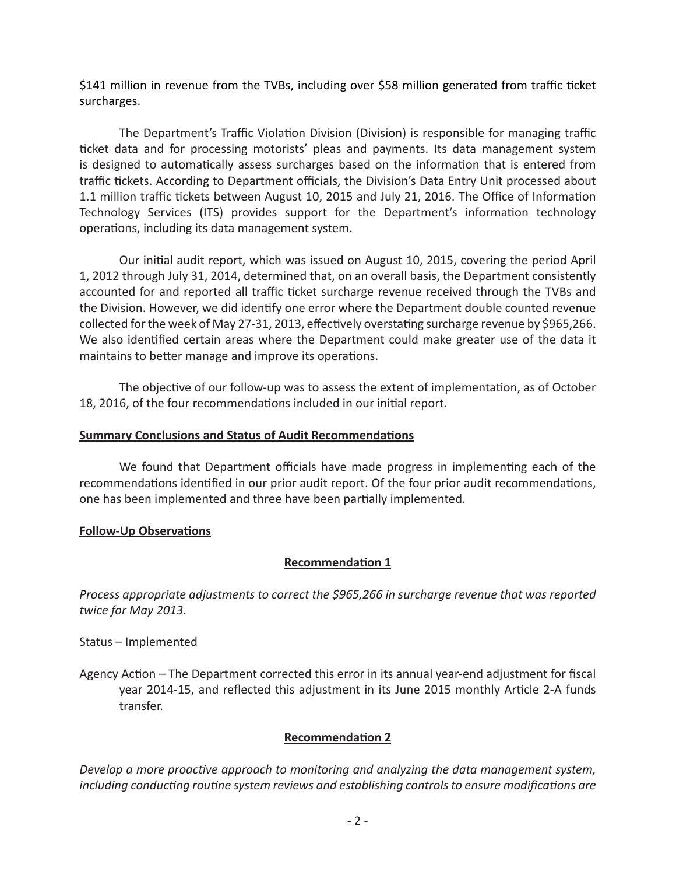\$141 million in revenue from the TVBs, including over \$58 million generated from traffic ticket surcharges.

The Department's Traffic Violation Division (Division) is responsible for managing traffic ticket data and for processing motorists' pleas and payments. Its data management system is designed to automatically assess surcharges based on the information that is entered from traffic tickets. According to Department officials, the Division's Data Entry Unit processed about 1.1 million traffic tickets between August 10, 2015 and July 21, 2016. The Office of Information Technology Services (ITS) provides support for the Department's information technology operations, including its data management system.

Our initial audit report, which was issued on August 10, 2015, covering the period April 1, 2012 through July 31, 2014, determined that, on an overall basis, the Department consistently accounted for and reported all traffic ticket surcharge revenue received through the TVBs and the Division. However, we did identify one error where the Department double counted revenue collected for the week of May 27-31, 2013, effectively overstating surcharge revenue by \$965,266. We also identified certain areas where the Department could make greater use of the data it maintains to better manage and improve its operations.

The objective of our follow-up was to assess the extent of implementation, as of October 18, 2016, of the four recommendations included in our initial report.

#### **Summary Conclusions and Status of Audit Recommendations**

We found that Department officials have made progress in implementing each of the recommendations identified in our prior audit report. Of the four prior audit recommendations, one has been implemented and three have been partially implemented.

#### **Follow-Up Observations**

# **Recommendation 1**

*Process appropriate adjustments to correct the \$965,266 in surcharge revenue that was reported twice for May 2013.*

Status – Implemented

Agency Action *–* The Department corrected this error in its annual year-end adjustment for fiscal year 2014-15, and reflected this adjustment in its June 2015 monthly Article 2-A funds transfer.

# **Recommendation 2**

*Develop a more proactive approach to monitoring and analyzing the data management system, including conducting routine system reviews and establishing controls to ensure modifications are*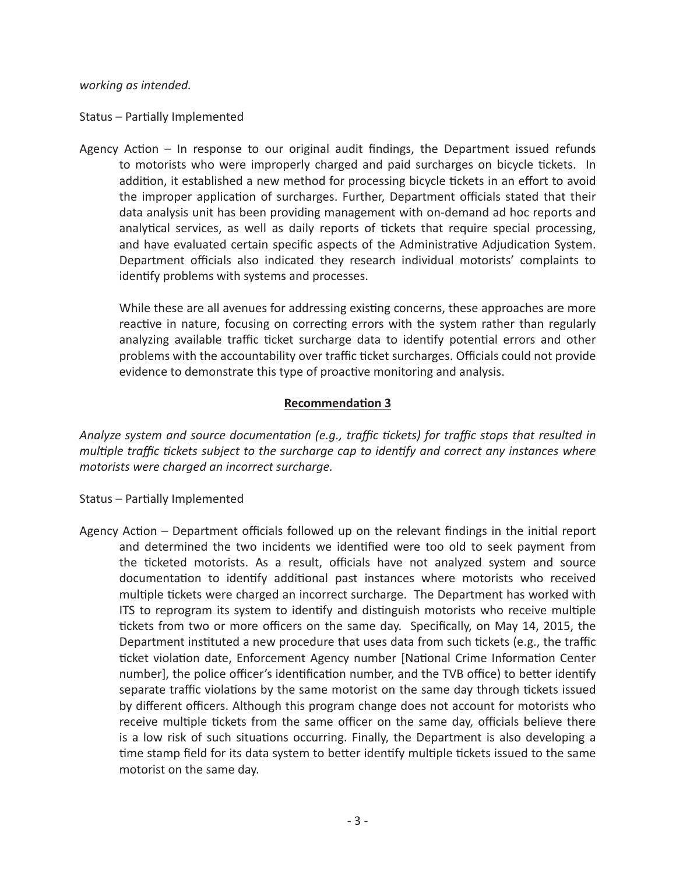*working as intended.*

Status – Partially Implemented

Agency Action – In response to our original audit findings, the Department issued refunds to motorists who were improperly charged and paid surcharges on bicycle tickets. In addition, it established a new method for processing bicycle tickets in an effort to avoid the improper application of surcharges. Further, Department officials stated that their data analysis unit has been providing management with on-demand ad hoc reports and analytical services, as well as daily reports of tickets that require special processing, and have evaluated certain specific aspects of the Administrative Adjudication System. Department officials also indicated they research individual motorists' complaints to identify problems with systems and processes.

While these are all avenues for addressing existing concerns, these approaches are more reactive in nature, focusing on correcting errors with the system rather than regularly analyzing available traffic ticket surcharge data to identify potential errors and other problems with the accountability over traffic ticket surcharges. Officials could not provide evidence to demonstrate this type of proactive monitoring and analysis.

# **Recommendation 3**

*Analyze system and source documentation (e.g., traffic tickets) for traffic stops that resulted in multiple traffic tickets subject to the surcharge cap to identify and correct any instances where motorists were charged an incorrect surcharge.*

- Status Partially Implemented
- Agency Action Department officials followed up on the relevant findings in the initial report and determined the two incidents we identified were too old to seek payment from the ticketed motorists. As a result, officials have not analyzed system and source documentation to identify additional past instances where motorists who received multiple tickets were charged an incorrect surcharge. The Department has worked with ITS to reprogram its system to identify and distinguish motorists who receive multiple tickets from two or more officers on the same day. Specifically, on May 14, 2015, the Department instituted a new procedure that uses data from such tickets (e.g., the traffic ticket violation date, Enforcement Agency number [National Crime Information Center number], the police officer's identification number, and the TVB office) to better identify separate traffic violations by the same motorist on the same day through tickets issued by different officers. Although this program change does not account for motorists who receive multiple tickets from the same officer on the same day, officials believe there is a low risk of such situations occurring. Finally, the Department is also developing a time stamp field for its data system to better identify multiple tickets issued to the same motorist on the same day.